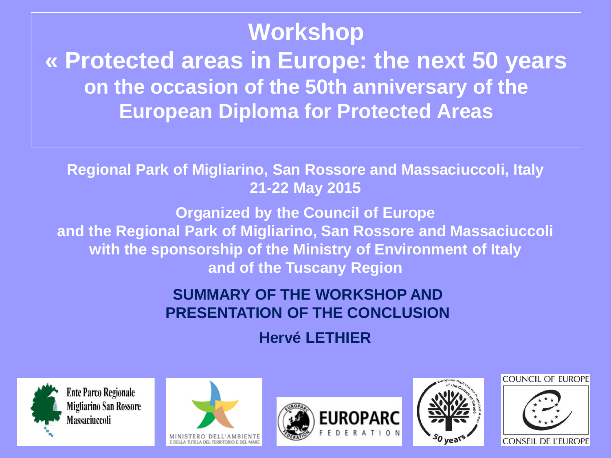#### **Workshop « Protected areas in Europe: the next 50 years on the occasion of the 50th anniversary of the European Diploma for Protected Areas**

**Regional Park of Migliarino, San Rossore and Massaciuccoli, Italy 21-22 May 2015**

**Organized by the Council of Europe and the Regional Park of Migliarino, San Rossore and Massaciuccoli with the sponsorship of the Ministry of Environment of Italy and of the Tuscany Region**

> **SUMMARY OF THE WORKSHOP AND PRESENTATION OF THE CONCLUSION**

> > **Hervé LETHIER**











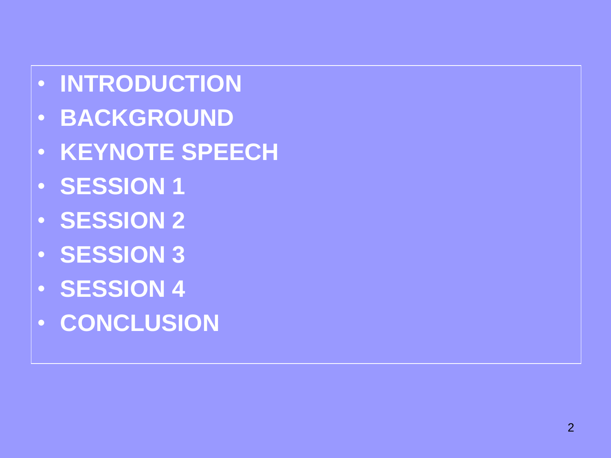- **INTRODUCTION**
- **BACKGROUND**
- **KEYNOTE SPEECH**
- **SESSION 1**
- **SESSION 2**
- **SESSION 3**
- **SESSION 4**
- **CONCLUSION**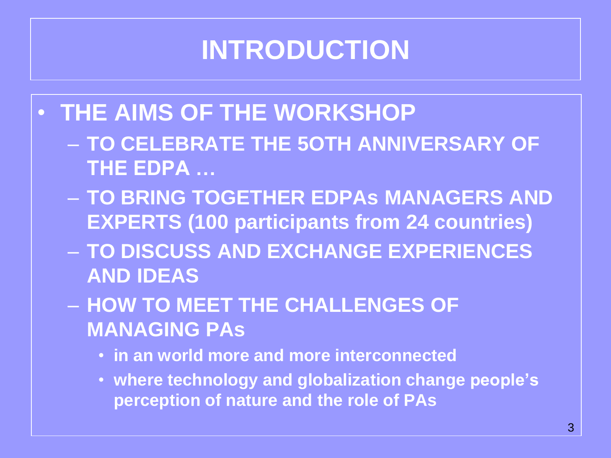# **INTRODUCTION**

- **THE AIMS OF THE WORKSHOP**
	- **TO CELEBRATE THE 5OTH ANNIVERSARY OF THE EDPA …**
	- **TO BRING TOGETHER EDPAs MANAGERS AND EXPERTS (100 participants from 24 countries)**
	- **TO DISCUSS AND EXCHANGE EXPERIENCES AND IDEAS**
	- **HOW TO MEET THE CHALLENGES OF MANAGING PAs**
		- **in an world more and more interconnected**
		- **where technology and globalization change people's perception of nature and the role of PAs**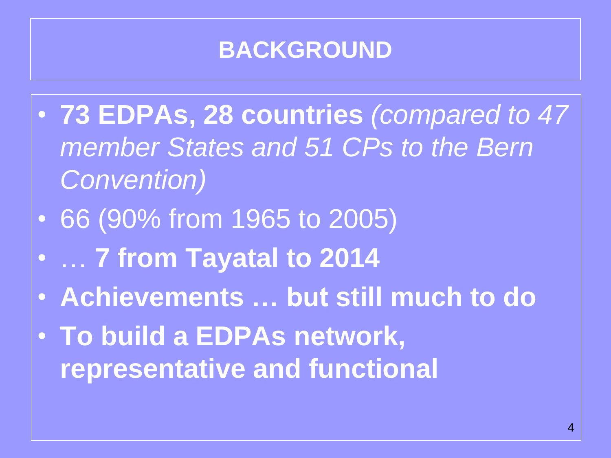### **BACKGROUND**

- **73 EDPAs, 28 countries** *(compared to 47 member States and 51 CPs to the Bern Convention)*
- 66 (90% from 1965 to 2005)
- … **7 from Tayatal to 2014**
- **Achievements … but still much to do**
- **To build a EDPAs network, representative and functional**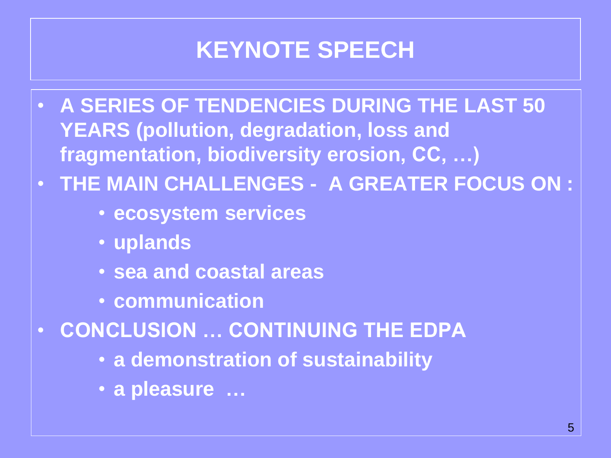## **KEYNOTE SPEECH**

- **A SERIES OF TENDENCIES DURING THE LAST 50 YEARS (pollution, degradation, loss and fragmentation, biodiversity erosion, CC, …)**
- **THE MAIN CHALLENGES A GREATER FOCUS ON :**
	- **ecosystem services**
	- **uplands**
	- **sea and coastal areas**
	- **communication**
- **CONCLUSION … CONTINUING THE EDPA**
	- **a demonstration of sustainability**
	- **a pleasure …**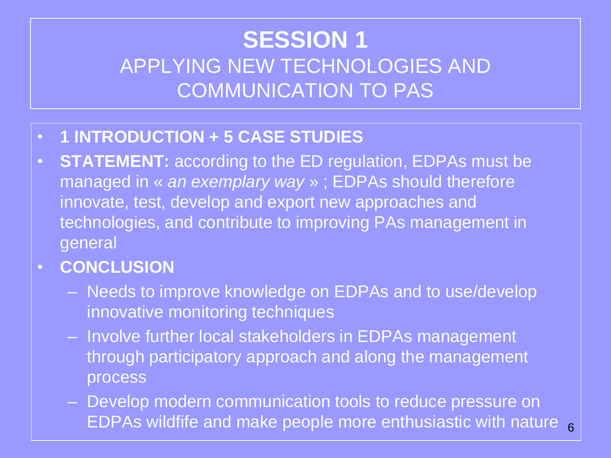#### **SESSION 1**  APPLYING NEW TECHNOLOGIES AND COMMUNICATION TO PAS

- **1 INTRODUCTION + 5 CASE STUDIES**
- **STATEMENT:** according to the ED regulation, EDPAs must be managed in « *an exemplary way* » ; EDPAs should therefore innovate, test, develop and export new approaches and technologies, and contribute to improving PAs management in general
- **CONCLUSION**
	- Needs to improve knowledge on EDPAs and to use/develop innovative monitoring techniques
	- Involve further local stakeholders in EDPAs management through participatory approach and along the management process
	- Develop modern communication tools to reduce pressure on EDPAs wildfife and make people more enthusiastic with nature  $6$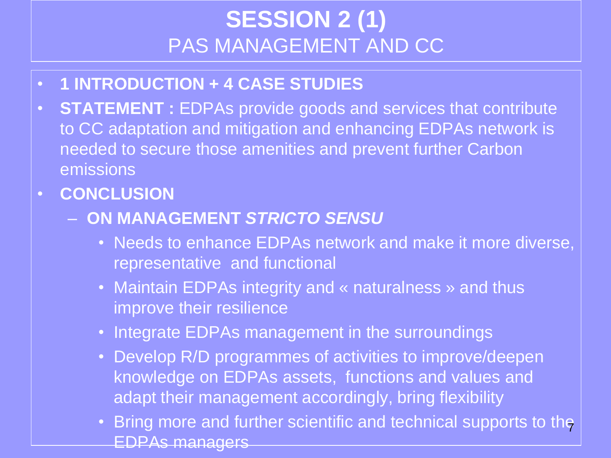#### **SESSION 2 (1)** PAS MANAGEMENT AND CC

- **1 INTRODUCTION + 4 CASE STUDIES**
- **STATEMENT :** EDPAs provide goods and services that contribute to CC adaptation and mitigation and enhancing EDPAs network is needed to secure those amenities and prevent further Carbon emissions
- **CONCLUSION**
	- **ON MANAGEMENT** *STRICTO SENSU*
		- Needs to enhance EDPAs network and make it more diverse, representative and functional
		- Maintain EDPAs integrity and « naturalness » and thus improve their resilience
		- Integrate EDPAs management in the surroundings
		- Develop R/D programmes of activities to improve/deepen knowledge on EDPAs assets, functions and values and adapt their management accordingly, bring flexibility
		- Bring more and further scientific and technical supports to the EDPAs managers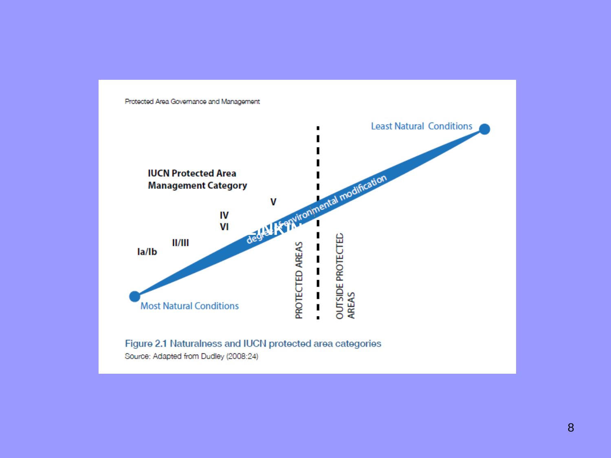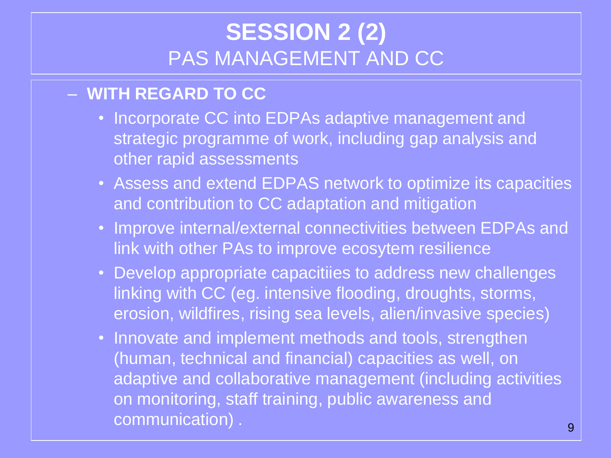#### **SESSION 2 (2)** PAS MANAGEMENT AND CC

#### – **WITH REGARD TO CC**

- Incorporate CC into EDPAs adaptive management and strategic programme of work, including gap analysis and other rapid assessments
- Assess and extend EDPAS network to optimize its capacities and contribution to CC adaptation and mitigation
- Improve internal/external connectivities between EDPAs and link with other PAs to improve ecosytem resilience
- Develop appropriate capacitiies to address new challenges linking with CC (eg. intensive flooding, droughts, storms, erosion, wildfires, rising sea levels, alien/invasive species)
- Innovate and implement methods and tools, strengthen (human, technical and financial) capacities as well, on adaptive and collaborative management (including activities on monitoring, staff training, public awareness and communication) . 9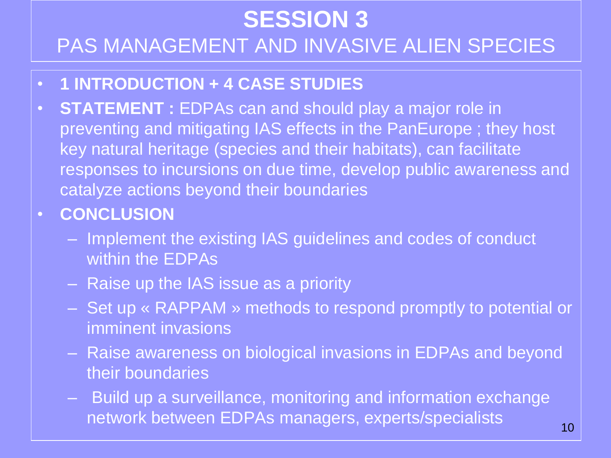## **SESSION 3**  PAS MANAGEMENT AND INVASIVE ALIEN SPECIES

- **1 INTRODUCTION + 4 CASE STUDIES**
- **STATEMENT :** EDPAs can and should play a major role in preventing and mitigating IAS effects in the PanEurope ; they host key natural heritage (species and their habitats), can facilitate responses to incursions on due time, develop public awareness and catalyze actions beyond their boundaries
- **CONCLUSION**
	- Implement the existing IAS guidelines and codes of conduct within the EDPAs
	- Raise up the IAS issue as a priority
	- Set up « RAPPAM » methods to respond promptly to potential or imminent invasions
	- Raise awareness on biological invasions in EDPAs and beyond their boundaries
	- Build up a surveillance, monitoring and information exchange network between EDPAs managers, experts/specialists 10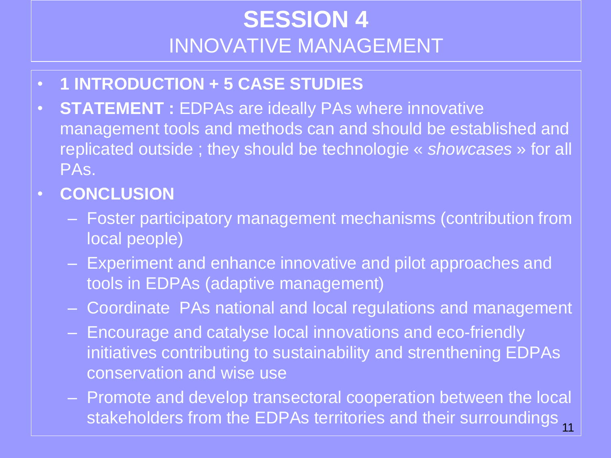#### **SESSION 4**  INNOVATIVE MANAGEMENT

- **1 INTRODUCTION + 5 CASE STUDIES**
- **STATEMENT :** EDPAs are ideally PAs where innovative management tools and methods can and should be established and replicated outside ; they should be technologie « *showcases* » for all PAs.
- **CONCLUSION**
	- Foster participatory management mechanisms (contribution from local people)
	- Experiment and enhance innovative and pilot approaches and tools in EDPAs (adaptive management)
	- Coordinate PAs national and local regulations and management
	- Encourage and catalyse local innovations and eco-friendly initiatives contributing to sustainability and strenthening EDPAs conservation and wise use
	- Promote and develop transectoral cooperation between the local stakeholders from the EDPAs territories and their surroundings 11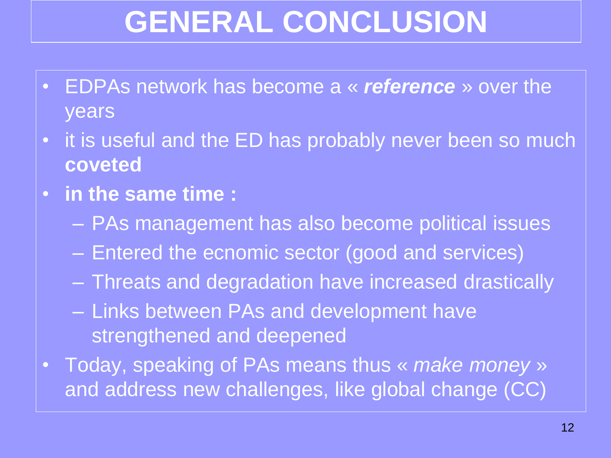# **GENERAL CONCLUSION**

- EDPAs network has become a « *reference* » over the years
- it is useful and the ED has probably never been so much **coveted**
- **in the same time :**
	- PAs management has also become political issues
	- Entered the ecnomic sector (good and services)
	- Threats and degradation have increased drastically
	- Links between PAs and development have strengthened and deepened
- Today, speaking of PAs means thus « *make money* » and address new challenges, like global change (CC)